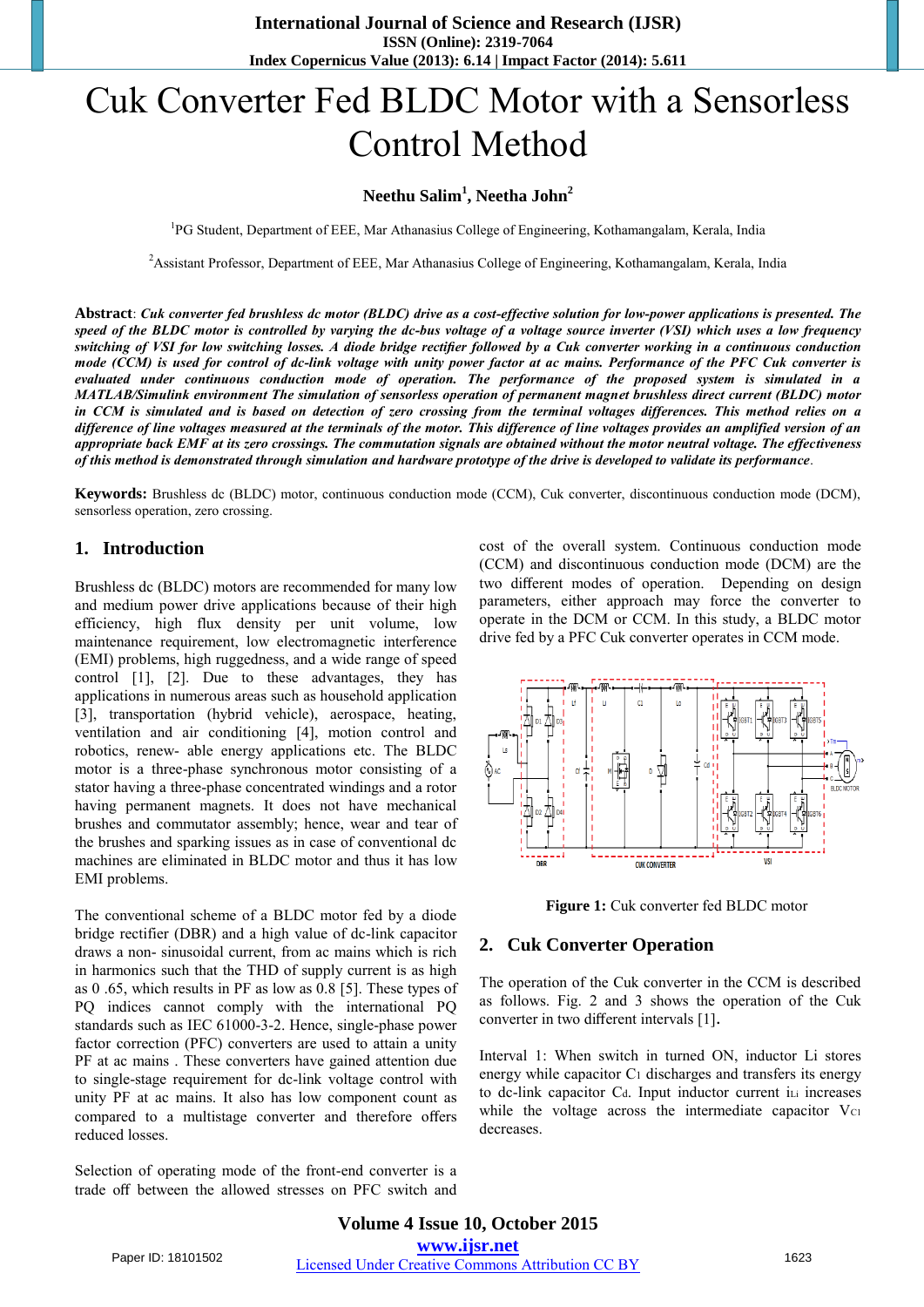# Cuk Converter Fed BLDC Motor with a Sensorless Control Method

## **Neethu Salim<sup>1</sup> , Neetha John<sup>2</sup>**

<sup>1</sup>PG Student, Department of EEE, Mar Athanasius College of Engineering, Kothamangalam, Kerala, India

<sup>2</sup> Assistant Professor, Department of EEE, Mar Athanasius College of Engineering, Kothamangalam, Kerala, India

**Abstract**: *Cuk converter fed brushless dc motor (BLDC) drive as a cost-effective solution for low-power applications is presented. The speed of the BLDC motor is controlled by varying the dc-bus voltage of a voltage source inverter (VSI) which uses a low frequency switching of VSI for low switching losses. A diode bridge rectifier followed by a Cuk converter working in a continuous conduction mode (CCM) is used for control of dc-link voltage with unity power factor at ac mains. Performance of the PFC Cuk converter is evaluated under continuous conduction mode of operation. The performance of the proposed system is simulated in a MATLAB/Simulink environment The simulation of sensorless operation of permanent magnet brushless direct current (BLDC) motor in CCM is simulated and is based on detection of zero crossing from the terminal voltages differences. This method relies on a difference of line voltages measured at the terminals of the motor. This difference of line voltages provides an amplified version of an appropriate back EMF at its zero crossings. The commutation signals are obtained without the motor neutral voltage. The effectiveness of this method is demonstrated through simulation and hardware prototype of the drive is developed to validate its performance*.

**Keywords:** Brushless dc (BLDC) motor, continuous conduction mode (CCM), Cuk converter, discontinuous conduction mode (DCM), sensorless operation, zero crossing.

#### **1. Introduction**

Brushless dc (BLDC) motors are recommended for many low and medium power drive applications because of their high efficiency, high flux density per unit volume, low maintenance requirement, low electromagnetic interference (EMI) problems, high ruggedness, and a wide range of speed control [1], [2]. Due to these advantages, they has applications in numerous areas such as household application [3], transportation (hybrid vehicle), aerospace, heating, ventilation and air conditioning [4], motion control and robotics, renew- able energy applications etc. The BLDC motor is a three-phase synchronous motor consisting of a stator having a three-phase concentrated windings and a rotor having permanent magnets. It does not have mechanical brushes and commutator assembly; hence, wear and tear of the brushes and sparking issues as in case of conventional dc machines are eliminated in BLDC motor and thus it has low EMI problems.

The conventional scheme of a BLDC motor fed by a diode bridge rectifier (DBR) and a high value of dc-link capacitor draws a non- sinusoidal current, from ac mains which is rich in harmonics such that the THD of supply current is as high as 0 .65, which results in PF as low as 0.8 [5]. These types of PQ indices cannot comply with the international PQ standards such as IEC 61000-3-2. Hence, single-phase power factor correction (PFC) converters are used to attain a unity PF at ac mains . These converters have gained attention due to single-stage requirement for dc-link voltage control with unity PF at ac mains. It also has low component count as compared to a multistage converter and therefore offers reduced losses.

Selection of operating mode of the front-end converter is a trade off between the allowed stresses on PFC switch and cost of the overall system. Continuous conduction mode (CCM) and discontinuous conduction mode (DCM) are the two different modes of operation. Depending on design parameters, either approach may force the converter to operate in the DCM or CCM. In this study, a BLDC motor drive fed by a PFC Cuk converter operates in CCM mode.





#### **2. Cuk Converter Operation**

The operation of the Cuk converter in the CCM is described as follows. Fig. 2 and 3 shows the operation of the Cuk converter in two different intervals [1]**.** 

Interval 1: When switch in turned ON, inductor Li stores energy while capacitor C<sub>1</sub> discharges and transfers its energy to dc-link capacitor Cd. Input inductor current iLi increases while the voltage across the intermediate capacitor  $V_{C1}$ decreases.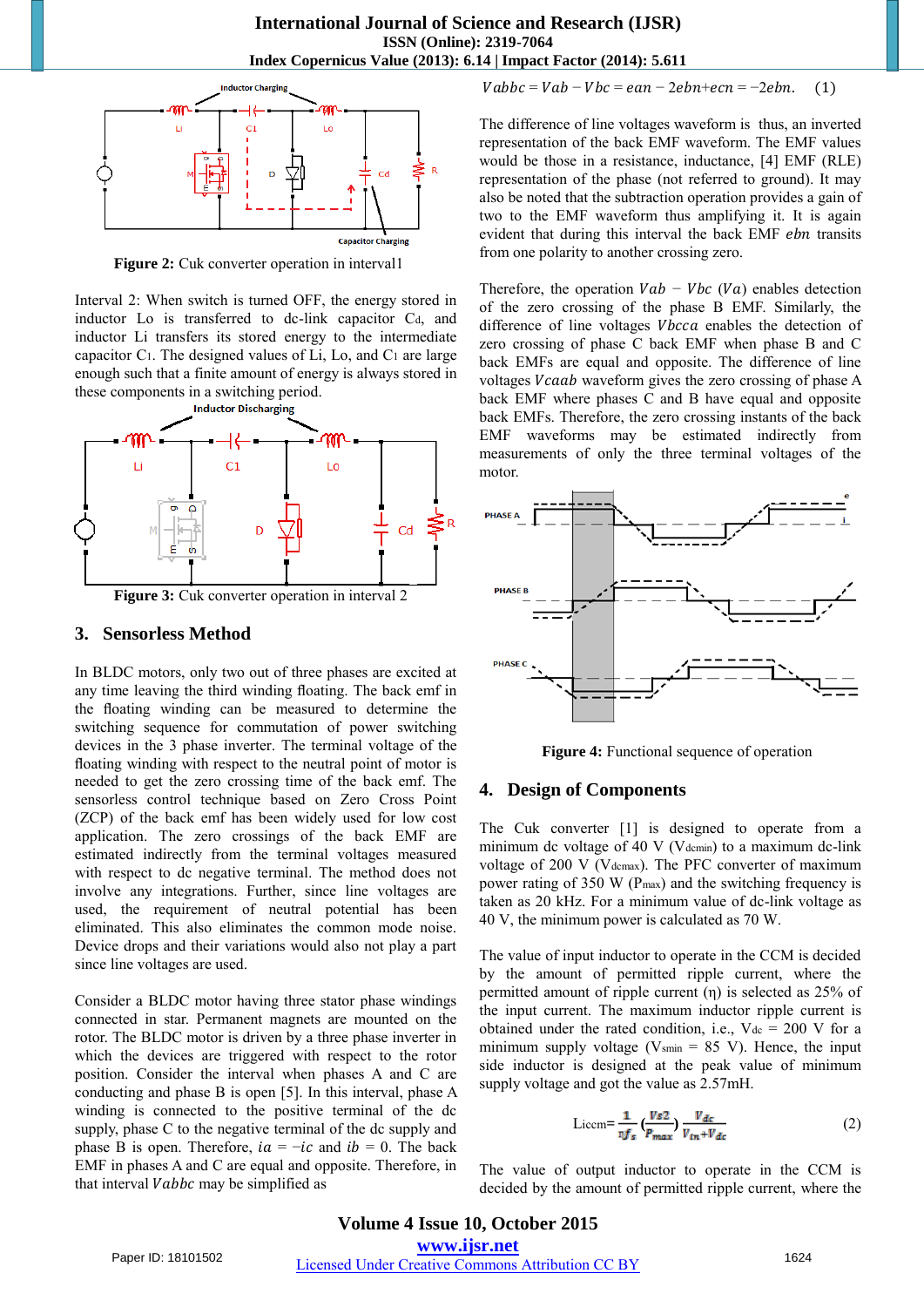

**Figure 2:** Cuk converter operation in interval1

Interval 2: When switch is turned OFF, the energy stored in inductor Lo is transferred to dc-link capacitor C<sub>d</sub>, and inductor Li transfers its stored energy to the intermediate capacitor C1. The designed values of Li, Lo, and C1 are large enough such that a finite amount of energy is always stored in these components in a switching period.



#### **3. Sensorless Method**

In BLDC motors, only two out of three phases are excited at any time leaving the third winding floating. The back emf in the floating winding can be measured to determine the switching sequence for commutation of power switching devices in the 3 phase inverter. The terminal voltage of the floating winding with respect to the neutral point of motor is needed to get the zero crossing time of the back emf. The sensorless control technique based on Zero Cross Point (ZCP) of the back emf has been widely used for low cost application. The zero crossings of the back EMF are estimated indirectly from the terminal voltages measured with respect to dc negative terminal. The method does not involve any integrations. Further, since line voltages are used, the requirement of neutral potential has been eliminated. This also eliminates the common mode noise. Device drops and their variations would also not play a part since line voltages are used.

Consider a BLDC motor having three stator phase windings connected in star. Permanent magnets are mounted on the rotor. The BLDC motor is driven by a three phase inverter in which the devices are triggered with respect to the rotor position. Consider the interval when phases A and C are conducting and phase B is open [5]. In this interval, phase A winding is connected to the positive terminal of the dc supply, phase C to the negative terminal of the dc supply and phase B is open. Therefore,  $ia = -ic$  and  $ib = 0$ . The back EMF in phases A and C are equal and opposite. Therefore, in that interval  $Vabbc$  may be simplified as

$$
Vabbc = Vab - Vbc = ean - 2ebn + ecn = -2ebn. \quad (1)
$$

The difference of line voltages waveform is thus, an inverted representation of the back EMF waveform. The EMF values would be those in a resistance, inductance, [4] EMF (RLE) representation of the phase (not referred to ground). It may also be noted that the subtraction operation provides a gain of two to the EMF waveform thus amplifying it. It is again evident that during this interval the back EMF *ebn* transits from one polarity to another crossing zero.

Therefore, the operation  $Vab - Vbc$  ( $Va$ ) enables detection of the zero crossing of the phase B EMF. Similarly, the difference of line voltages *Vbcca* enables the detection of zero crossing of phase C back EMF when phase B and C back EMFs are equal and opposite. The difference of line voltages Vcaab waveform gives the zero crossing of phase A back EMF where phases C and B have equal and opposite back EMFs. Therefore, the zero crossing instants of the back EMF waveforms may be estimated indirectly from measurements of only the three terminal voltages of the motor.



 **Figure 4:** Functional sequence of operation

#### **4. Design of Components**

The Cuk converter [1] is designed to operate from a minimum dc voltage of 40 V (Vdcmin) to a maximum dc-link voltage of 200 V (V<sub>dcmax</sub>). The PFC converter of maximum power rating of 350 W (Pmax) and the switching frequency is taken as 20 kHz. For a minimum value of dc-link voltage as 40 V, the minimum power is calculated as 70 W.

The value of input inductor to operate in the CCM is decided by the amount of permitted ripple current, where the permitted amount of ripple current (η) is selected as 25% of the input current. The maximum inductor ripple current is obtained under the rated condition, i.e.,  $V_{dc} = 200$  V for a minimum supply voltage ( $V_{\text{smin}} = 85$  V). Hence, the input side inductor is designed at the peak value of minimum supply voltage and got the value as 2.57mH.

$$
\text{Liccm} = \frac{1}{\eta f_s} \left( \frac{Vs2}{P_{max}} \right) \frac{V_{dc}}{V_{in} + V_{dc}} \tag{2}
$$

The value of output inductor to operate in the CCM is decided by the amount of permitted ripple current, where the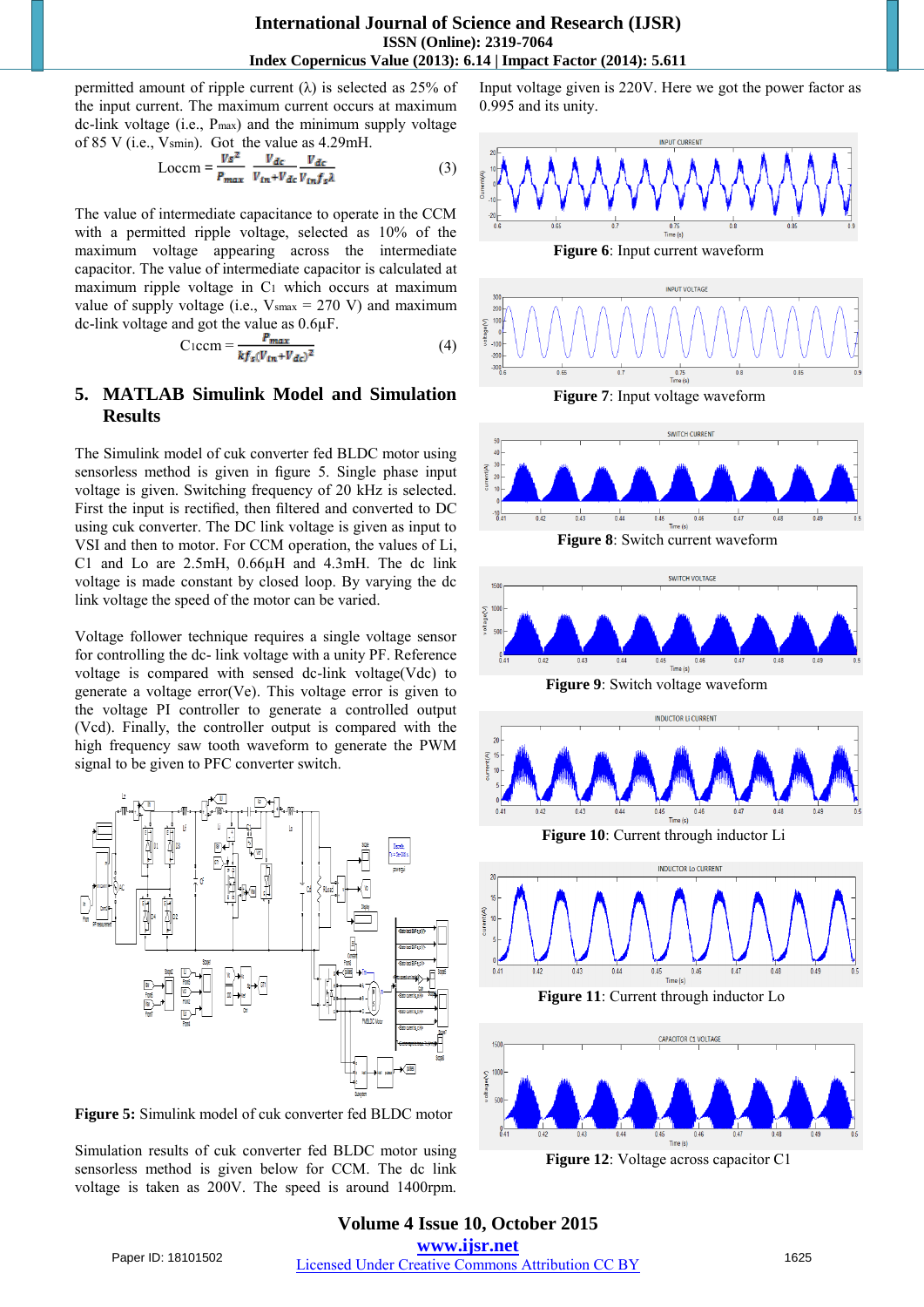**International Journal of Science and Research (IJSR) ISSN (Online): 2319-7064 Index Copernicus Value (2013): 6.14 | Impact Factor (2014): 5.611** 

permitted amount of ripple current  $(\lambda)$  is selected as 25% of the input current. The maximum current occurs at maximum dc-link voltage (i.e., Pmax) and the minimum supply voltage of 85 V (i.e., Vsmin). Got the value as 4.29mH.

$$
\text{Loccm} = \frac{V s^2}{P_{max}} \frac{V_{dc}}{V_{in} + V_{dc}} \frac{V_{dc}}{V_{in} f_s \lambda} \tag{3}
$$

The value of intermediate capacitance to operate in the CCM with a permitted ripple voltage, selected as 10% of the maximum voltage appearing across the intermediate capacitor. The value of intermediate capacitor is calculated at maximum ripple voltage in C1 which occurs at maximum value of supply voltage (i.e.,  $V_{\text{smax}} = 270 \text{ V}$ ) and maximum dc-link voltage and got the value as 0.6µF.

$$
Ciccm = \frac{P_{max}}{kf_s(V_{in} + V_{dc})^2}
$$
 (4)

## **5. MATLAB Simulink Model and Simulation Results**

The Simulink model of cuk converter fed BLDC motor using sensorless method is given in figure 5. Single phase input voltage is given. Switching frequency of 20 kHz is selected. First the input is rectified, then filtered and converted to DC using cuk converter. The DC link voltage is given as input to VSI and then to motor. For CCM operation, the values of Li, C1 and Lo are 2.5mH, 0.66µH and 4.3mH. The dc link voltage is made constant by closed loop. By varying the dc link voltage the speed of the motor can be varied.

Voltage follower technique requires a single voltage sensor for controlling the dc- link voltage with a unity PF. Reference voltage is compared with sensed dc-link voltage(Vdc) to generate a voltage error(Ve). This voltage error is given to the voltage PI controller to generate a controlled output (Vcd). Finally, the controller output is compared with the high frequency saw tooth waveform to generate the PWM signal to be given to PFC converter switch.



**Figure 5:** Simulink model of cuk converter fed BLDC motor

Simulation results of cuk converter fed BLDC motor using sensorless method is given below for CCM. The dc link voltage is taken as 200V. The speed is around 1400rpm.

Input voltage given is 220V. Here we got the power factor as 0.995 and its unity.





 **Figure 7**: Input voltage waveform



 **Figure 12**: Voltage across capacitor C1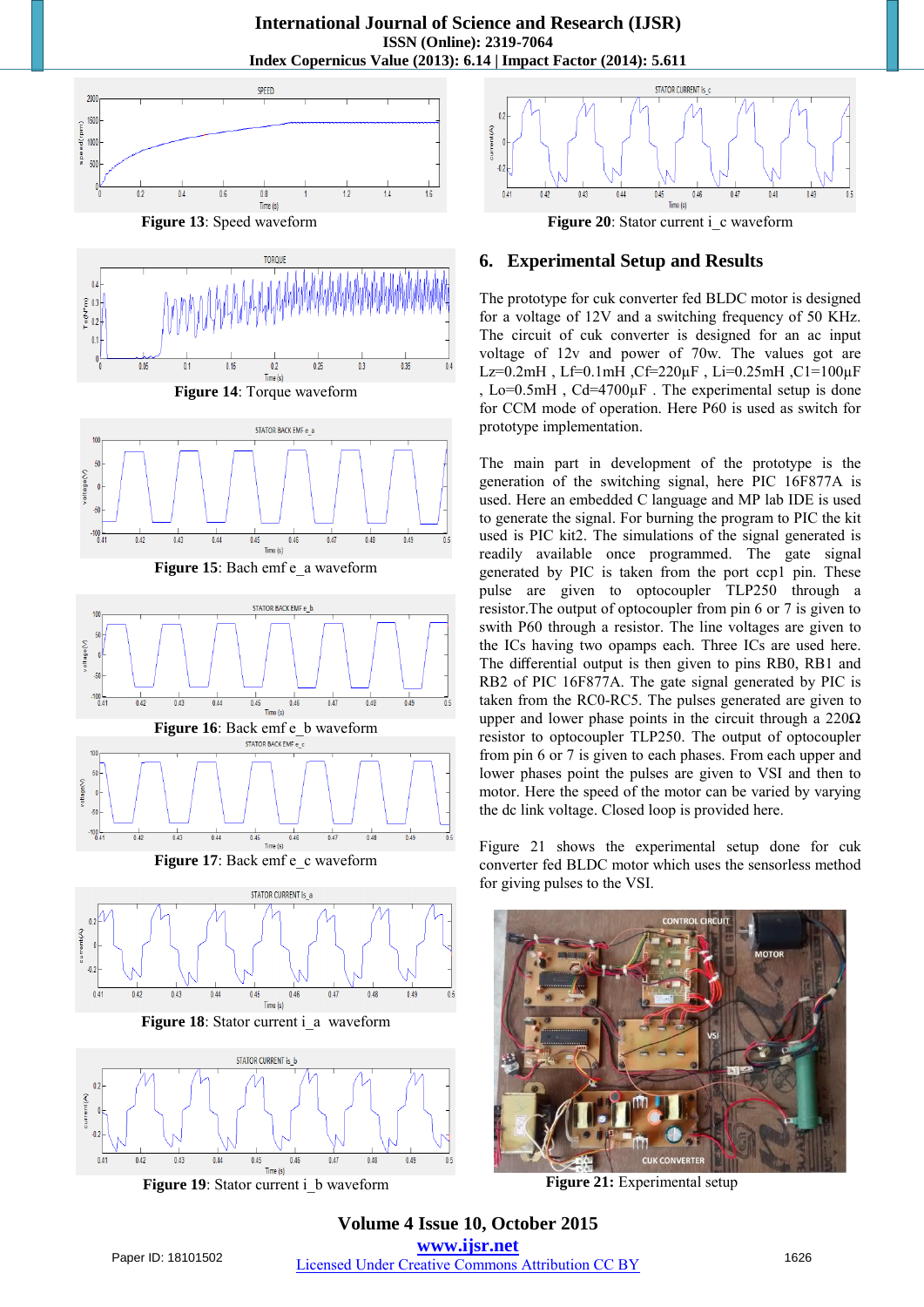**International Journal of Science and Research (IJSR) ISSN (Online): 2319-7064 Index Copernicus Value (2013): 6.14 | Impact Factor (2014): 5.611** 



 **Figure 13**: Speed waveform



**Figure 14**: Torque waveform



Figure 15: Bach emf e a waveform



**Figure 17**: Back emf e\_c waveform



**Figure 18**: Stator current i\_a waveform



**Figure 19:** Stator current i\_b waveform



#### **6. Experimental Setup and Results**

The prototype for cuk converter fed BLDC motor is designed for a voltage of 12V and a switching frequency of 50 KHz. The circuit of cuk converter is designed for an ac input voltage of 12v and power of 70w. The values got are Lz=0.2mH, Lf=0.1mH, Cf=220 $\mu$ F, Li=0.25mH, C1=100 $\mu$ F , Lo=0.5mH , Cd=4700µF . The experimental setup is done for CCM mode of operation. Here P60 is used as switch for prototype implementation.

The main part in development of the prototype is the generation of the switching signal, here PIC 16F877A is used. Here an embedded C language and MP lab IDE is used to generate the signal. For burning the program to PIC the kit used is PIC kit2. The simulations of the signal generated is readily available once programmed. The gate signal generated by PIC is taken from the port ccp1 pin. These pulse are given to optocoupler TLP250 through a resistor.The output of optocoupler from pin 6 or 7 is given to swith P60 through a resistor. The line voltages are given to the ICs having two opamps each. Three ICs are used here. The differential output is then given to pins RB0, RB1 and RB2 of PIC 16F877A. The gate signal generated by PIC is taken from the RC0-RC5. The pulses generated are given to upper and lower phase points in the circuit through a  $220\Omega$ resistor to optocoupler TLP250. The output of optocoupler from pin 6 or 7 is given to each phases. From each upper and lower phases point the pulses are given to VSI and then to motor. Here the speed of the motor can be varied by varying the dc link voltage. Closed loop is provided here.

Figure 21 shows the experimental setup done for cuk converter fed BLDC motor which uses the sensorless method for giving pulses to the VSI.



 **Figure 21:** Experimental setup